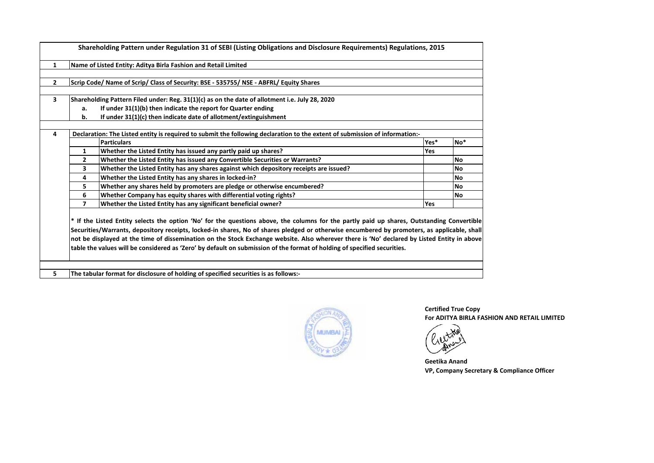| Yes*<br>No <sup>*</sup>                                                                                                                                                                                                                                                                                                                                                                                                                         |
|-------------------------------------------------------------------------------------------------------------------------------------------------------------------------------------------------------------------------------------------------------------------------------------------------------------------------------------------------------------------------------------------------------------------------------------------------|
|                                                                                                                                                                                                                                                                                                                                                                                                                                                 |
| <b>No</b>                                                                                                                                                                                                                                                                                                                                                                                                                                       |
| <b>No</b>                                                                                                                                                                                                                                                                                                                                                                                                                                       |
| <b>No</b>                                                                                                                                                                                                                                                                                                                                                                                                                                       |
| <b>No</b>                                                                                                                                                                                                                                                                                                                                                                                                                                       |
| <b>No</b>                                                                                                                                                                                                                                                                                                                                                                                                                                       |
|                                                                                                                                                                                                                                                                                                                                                                                                                                                 |
| Yes<br>* If the Listed Entity selects the option 'No' for the questions above, the columns for the partly paid up shares, Outstanding Convertible<br>Securities/Warrants, depository receipts, locked-in shares, No of shares pledged or otherwise encumbered by promoters, as applicable, shall<br>not be displayed at the time of dissemination on the Stock Exchange website. Also wherever there is 'No' declared by Listed Entity in above |

**5 The tabular format for disclosure of holding of specified securities is as follows:-**



**Certified True Copy For ADITYA BIRLA FASHION AND RETAIL LIMITED**



**VP, Company Secretary & Compliance Officer Geetika Anand**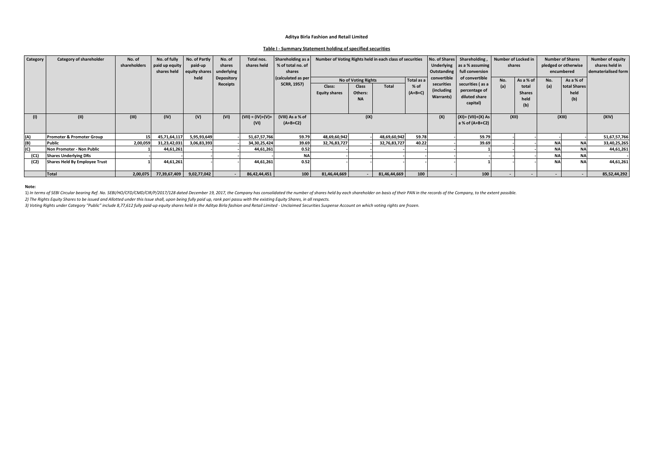## **Table I - Summary Statement holding of specified securities**

| Category | Category of shareholder              | No. of       | No. of fully   | No. of Partly | No. of     | Total nos.          | Shareholding as a  | Number of Voting Rights held in each class of securities |              |              |           |                               | No. of Shares Shareholding, | Number of Locked in |               |            | <b>Number of Shares</b> | <b>Number of equity</b> |
|----------|--------------------------------------|--------------|----------------|---------------|------------|---------------------|--------------------|----------------------------------------------------------|--------------|--------------|-----------|-------------------------------|-----------------------------|---------------------|---------------|------------|-------------------------|-------------------------|
|          |                                      | shareholders | paid up equity | paid-up       | shares     | shares held         | % of total no. of  |                                                          |              |              |           |                               | Underlying as a % assuming  |                     | shares        |            | pledged or otherwise    | shares held in          |
|          |                                      |              | shares held    | equity shares | underlying |                     | shares             |                                                          |              |              |           | Outstanding   full conversion |                             |                     |               | encumbered | dematerialised form     |                         |
|          |                                      |              |                | held          | Depository |                     | (calculated as per | Total as a<br>No of Voting Rights                        |              |              |           | convertible                   | of convertible              | No.                 | As a % of     | No.        | As a % of               |                         |
|          |                                      |              |                |               | Receipts   |                     | <b>SCRR, 1957)</b> | Class:                                                   | <b>Class</b> | Total        | $%$ of    | securities                    | securities (as a            | (a)                 | total         | (a)        | total Shares            |                         |
|          |                                      |              |                |               |            |                     |                    | <b>Equity shares</b>                                     | Others:      |              | $(A+B+C)$ | (including                    | percentage of               |                     | <b>Shares</b> |            | held                    |                         |
|          |                                      |              |                |               |            |                     |                    |                                                          | <b>NA</b>    |              |           | <b>Warrants</b> )             | diluted share               |                     | held          |            | (b)                     |                         |
|          |                                      |              |                |               |            |                     |                    |                                                          |              |              |           |                               | capital)                    |                     | (b)           |            |                         |                         |
|          |                                      |              |                |               |            |                     |                    |                                                          |              |              |           |                               |                             |                     |               |            |                         |                         |
| (1)      | (II)                                 | (III)        | (IV)           | (V)           | (VI)       | $(VII) = (IV)+(V)+$ | (VIII) As a % of   |                                                          | (IX)         |              |           | (X)                           | $(XI) = (VII)+(X) As$       | (XII)               |               |            | (XIII)                  | (XIV)                   |
|          |                                      |              |                |               |            | (VI)                | $(A+B+C2)$         |                                                          |              |              |           |                               | $ a$ % of (A+B+C2)          |                     |               |            |                         |                         |
|          |                                      |              |                |               |            |                     |                    |                                                          |              |              |           |                               |                             |                     |               |            |                         |                         |
| (A)      | <b>Promoter &amp; Promoter Group</b> |              | 45,71,64,117   | 5,95,93,649   |            | 51,67,57,766        | 59.79              | 48,69,60,942                                             |              | 48,69,60,942 | 59.78     |                               | 59.79                       |                     |               |            |                         | 51,67,57,766            |
| (B)      | Public                               | 2,00,059     | 31,23,42,031   | 3,06,83,393   |            | 34,30,25,424        | 39.69              | 32,76,83,727                                             |              | 32,76,83,727 | 40.22     |                               | 39.69                       |                     |               | <b>NA</b>  | <b>NA</b>               | 33,40,25,265            |
| (C)      | Non Promoter - Non Public            |              | 44,61,261      |               |            | 44,61,261           | 0.52               |                                                          |              |              |           |                               |                             |                     |               | <b>NA</b>  | <b>NA</b>               | 44,61,261               |
| (C1)     | <b>Shares Underlying DRs</b>         |              |                |               |            |                     | <b>NA</b>          |                                                          |              |              |           |                               |                             |                     |               | <b>NA</b>  | <b>NA</b>               |                         |
| (C2)     | <b>Shares Held By Employee Trust</b> |              | 44,61,261      |               |            | 44,61,261           | 0.52               |                                                          |              |              |           |                               |                             |                     |               | <b>NA</b>  | <b>NA</b>               | 44,61,261               |
|          |                                      |              |                |               |            |                     |                    |                                                          |              |              |           |                               |                             |                     |               |            |                         |                         |
|          | Total                                | 2,00,075     | 77,39,67,409   | 9,02,77,042   |            | 86,42,44,451        | 100 <sup>1</sup>   | 81,46,44,669                                             |              | 81,46,44,669 | 100       |                               | 100 <sup>1</sup>            |                     |               |            |                         | 85,52,44,292            |

**Note:** 

1) In terms of SEBI Circular bearing Ref. No. SEBI/HO/CFD/CMD/CIR/P/2017/128 dated December 19, 2017, the Company has consolidated the number of shares held by each shareholder on basis of their PAN in the records of the C

*2) The Rights Equity Shares to be issued and Allotted under this Issue shall, upon being fully paid up, rank pari passu with the existing Equity Shares, in all respects.*

*3) Voting Rights under Category "Public" include 8,77,612 fully paid-up equity shares held in the Aditya Birla fashion and Retail Limited - Unclaimed Securities Suspense Account on which voting rights are frozen.*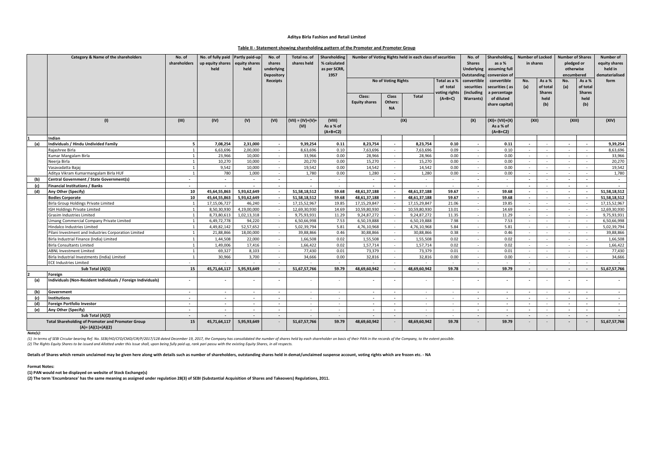#### **Table II - Statement showing shareholding pattern of the Promoter and Promoter Group**

|     | Category & Name of the shareholders                                             | No. of<br>shareholders | No. of fully paid Partly paid-up<br>up equity shares equity shares<br>held | held             | No. of<br>shares<br>underlying<br><b>Depository</b> | Total no. of<br>shares held | <b>Shareholding</b><br>% calculated<br>as per SCRR,<br>1957 |                                | Number of Voting Rights held in each class of securities |                    |                                           |                                         | Shareholding,<br>as a %<br>assuming full<br>conversion of | <b>Number of Locked</b><br>in shares |                                     | <b>Number of Shares</b><br>pledged or<br>otherwise<br>encumbered |                                     | Number of<br>equity shares<br>held in<br>dematerialised |
|-----|---------------------------------------------------------------------------------|------------------------|----------------------------------------------------------------------------|------------------|-----------------------------------------------------|-----------------------------|-------------------------------------------------------------|--------------------------------|----------------------------------------------------------|--------------------|-------------------------------------------|-----------------------------------------|-----------------------------------------------------------|--------------------------------------|-------------------------------------|------------------------------------------------------------------|-------------------------------------|---------------------------------------------------------|
|     |                                                                                 |                        |                                                                            |                  | <b>Receipts</b>                                     |                             |                                                             |                                | <b>No of Voting Rights</b>                               |                    | Total as a %<br>of total<br>voting rights | convertible<br>securities<br>(including | convertible<br>ecurities (as<br>a percentage              | No.<br>(a)                           | As a %<br>of total<br><b>Shares</b> | No.<br>(a)                                                       | As a %<br>of total<br><b>Shares</b> | form                                                    |
|     |                                                                                 |                        |                                                                            |                  |                                                     |                             |                                                             | Class:<br><b>Equity shares</b> | <b>Class</b><br>Others:<br><b>NA</b>                     | <b>Total</b>       | $(A+B+C)$                                 | Warrants)                               | of diluted<br>share capital)                              |                                      | held<br>(b)                         |                                                                  | held<br>(b)                         |                                                         |
|     | (1)                                                                             | (III)                  | (IV)                                                                       | (V)              | (VI)                                                | $(VII) = (IV)+(V)+$<br>(VI) | (VIII)<br>As a % of<br>$(A+B+C2)$                           | (IX)                           |                                                          |                    |                                           |                                         | $(XI) = (VII)+(X)$<br>As a % of<br>$(A+B+C2)$             | (XII)                                |                                     | (XIII)                                                           |                                     | (XIV)                                                   |
|     | Indian                                                                          |                        |                                                                            |                  |                                                     |                             |                                                             |                                |                                                          |                    |                                           |                                         |                                                           |                                      |                                     |                                                                  |                                     |                                                         |
| (a) | Individuals / Hindu Undivided Family                                            | -5                     | 7,08,254                                                                   | 2,31,000         | $\overline{a}$                                      | 9,39,254                    | 0.11                                                        | 8,23,754                       | $\sim$                                                   | 8,23,754           | 0.10                                      | $\sim$                                  | 0.11                                                      | $\overline{\phantom{a}}$             |                                     | $\overline{\phantom{a}}$                                         |                                     | 9,39,254                                                |
|     | Rajashree Birla                                                                 |                        | 6,63,696                                                                   | 2,00,000         | $\sim$                                              | 8,63,696                    | 0.10                                                        | 7,63,696                       | $\sim$                                                   | 7,63,696<br>28,966 | 0.09                                      | $\sim$                                  | 0.10                                                      | $\sim$                               | $\overline{\phantom{a}}$            | ×.                                                               |                                     | 8,63,696<br>33,966                                      |
|     | <b>Kumar Mangalam Birla</b><br>Neerja Birla                                     |                        | 23,966<br>10.270                                                           | 10,000<br>10.000 | $\sim$<br>$\sim$                                    | 33,966<br>20.270            | 0.00<br>0.00                                                | 28,966<br>15.270               | $\sim$<br>$\sim$                                         | 15.270             | 0.00<br>0.00                              | $\sim$<br>$\sim$                        | 0.00<br>0.00                                              | $\sim$<br>$\sim$                     | $\sim$                              | $\sim$<br>$\sim$                                                 |                                     | 20,270                                                  |
|     | Vasavadatta Baiai                                                               |                        | 9.542                                                                      | 10.000           | $\overline{\phantom{a}}$                            | 19.542                      | 0.00                                                        | 14.542                         | $\sim$                                                   | 14.542             | 0.00                                      | $\sim$                                  | 0.00                                                      | $\sim$                               | $\overline{a}$                      | $\sim$                                                           |                                     | 19,542                                                  |
|     | Aditya Vikram Kumarmangalam Birla HUF                                           | $\overline{1}$         | 780                                                                        | 1,000            | $\sim$                                              | 1.780                       | 0.00                                                        | 1.280                          | $\sim$                                                   | 1.280              | 0.00                                      | $\sim$                                  | 0.00                                                      | $\sim$                               | $\sim$                              | $\sim$                                                           |                                     | 1,780                                                   |
| (b) | Central Government / State Government(s)                                        | $\sim$                 | $\sim$                                                                     | $\sim$           | $\overline{\phantom{a}}$                            | $\overline{\phantom{a}}$    | $\sim$                                                      | $\overline{a}$                 | $\sim$                                                   |                    | $\overline{\phantom{a}}$                  | $\overline{\phantom{a}}$                | $\sim$                                                    | $\overline{\phantom{a}}$             | $\overline{\phantom{a}}$            | $\overline{\phantom{a}}$                                         |                                     | $\overline{\phantom{a}}$                                |
| (c) | <b>Financial Institutions / Banks</b>                                           | $\sim$                 |                                                                            |                  |                                                     |                             |                                                             |                                |                                                          |                    |                                           | $\overline{\phantom{a}}$                |                                                           |                                      |                                     |                                                                  |                                     |                                                         |
| (d) | Any Other (Specify)                                                             | 10                     | 45.64.55.863                                                               | 5.93.62.649      | $\sim$                                              | 51.58.18.512                | 59.68                                                       | 48.61.37.188                   | $\sim$                                                   | 48.61.37.188       | 59.67                                     | $\sim$                                  | 59.68                                                     | $\sim$                               | $\sim$                              | $\sim$                                                           | $\sim$                              | 51.58.18.512                                            |
|     | <b>Bodies Corporate</b>                                                         | 10                     | 45,64,55,863                                                               | 5,93,62,649      | $\overline{\phantom{a}}$                            | 51.58.18.512                | 59.68                                                       | 48,61,37,188                   |                                                          | 48,61,37,188       | 59.67                                     | $\sim$                                  | 59.68                                                     | $\overline{\phantom{a}}$             |                                     | $\overline{\phantom{a}}$                                         |                                     | 51,58,18,512                                            |
|     | Birla Group Holdings Private Limited                                            |                        | 17.15.06.727                                                               | 46.240           | $\sim$                                              | 17.15.52.967                | 19.85                                                       | 17.15.29.847                   | $\sim$                                                   | 17.15.29.847       | 21.06                                     | $\sim$                                  | 19.85                                                     | $\sim$                               | $\sim$                              | $\sim$                                                           |                                     | 17.15.52.967                                            |
|     | <b>GH Holdings Private Limited</b>                                              |                        | 8,50,30,930                                                                | 4,19,00,000      | $\sim$                                              | 12,69,30,930                | 14.69                                                       | 10,59,80,930                   |                                                          | 10,59,80,930       | 13.01                                     | $\sim$                                  | 14.69                                                     | $\sim$                               |                                     | $\sim$                                                           |                                     | 12,69,30,930                                            |
|     | <b>Grasim Industries Limited</b>                                                | $\overline{1}$         | 8.73.80.613                                                                | 1,02,13,318      | $\sim$                                              | 9.75.93.931                 | 11.29                                                       | 9.24.87.272                    |                                                          | 9.24.87.272        | 11.35                                     | $\sim$                                  | 11.29                                                     | $\sim$                               |                                     | ×.                                                               |                                     | 9,75,93,931                                             |
|     | <b>Jmang Commercial Company Private Limited</b>                                 |                        | 6,49,72,778                                                                | 94,220           | $\sim$                                              | 6,50,66,998                 | 7.53                                                        | 6,50,19,888                    |                                                          | 6,50,19,888        | 7.98                                      | $\sim$                                  | 7.53                                                      | $\overline{\phantom{a}}$             |                                     | $\sim$                                                           |                                     | 6,50,66,998                                             |
|     | lindalco Industries Limited                                                     |                        | 4,49,82,142                                                                | 52,57,652        | $\sim$                                              | 5,02,39,794                 | 5.81                                                        | 4,76,10,968                    | <b>1999</b>                                              | 4,76,10,968        | 5.84                                      | $\sim$                                  | 5.81                                                      | $\sim$                               |                                     |                                                                  |                                     | 5,02,39,794                                             |
|     | Pilani Investment and Industries Corporation Limited                            | $\overline{1}$         | 21,88,866                                                                  | 18,00,000        | $\sim$                                              | 39,88,866                   | 0.46                                                        | 30,88,866                      | $\sim$ $-$                                               | 30,88,866          | 0.38                                      | $\sim$                                  | 0.46                                                      | $\sim$                               | $\sim$                              | $\sim$                                                           | $\sim$                              | 39,88,866                                               |
|     | Birla Industrial Finance (India) Limited                                        |                        | 1,44,508                                                                   | 22,000           | $\sim$                                              | 1,66,508                    | 0.02                                                        | 1,55,508                       | $\sim$                                                   | 1,55,508           | 0.02                                      | $\sim$                                  | 0.02                                                      | $\sim$                               |                                     | $\sim$                                                           |                                     | 1,66,508                                                |
|     | <b>Birla Consultants Limited</b>                                                | $\overline{1}$         | 1,49,006                                                                   | 17,416           | $\sim$                                              | 1,66,422                    | 0.02                                                        | 1,57,714                       | $\sim$                                                   | 1,57,714           | 0.02                                      | $\sim$                                  | 0.02                                                      |                                      |                                     |                                                                  |                                     | 1,66,422                                                |
|     | <b>ABNL Investment Limited</b>                                                  |                        | 69,327                                                                     | 8,103            | $\sim$                                              | 77.430                      | 0.01                                                        | 73,379                         | $\sim$                                                   | 73,379             | 0.01                                      | $\sim$                                  | 0.01                                                      | $\overline{\phantom{a}}$             | $\sim$                              | $\sim$                                                           |                                     | 77,430                                                  |
|     | Birla Industrial Investments (India) Limited                                    | -1                     | 30,966                                                                     | 3,700            | $\overline{\phantom{a}}$                            | 34,666                      | 0.00                                                        | 32,816                         | $\sim$                                                   | 32,816             | 0.00                                      | $\sim$                                  | 0.00                                                      | $\sim$                               | $\overline{\phantom{a}}$            | $\sim$                                                           |                                     | 34,666                                                  |
|     | <b>ECE Industries Limited</b>                                                   | $\sim$                 |                                                                            | $\sim$           | $\sim$                                              | $\sim$                      | $\sim$                                                      | $\sim$                         | $\sim$                                                   |                    | $\sim$                                    | $\sim$                                  | $\sim$                                                    | $\sim$                               |                                     | $\sim$                                                           |                                     |                                                         |
|     | Sub Total (A)(1)                                                                | 15                     | 45,71,64,117                                                               | 5,95,93,649      |                                                     | 51,67,57,766                | 59.79                                                       | 48,69,60,942                   |                                                          | 48,69,60,942       | 59.78                                     | $\sim$                                  | 59.79                                                     | $\overline{a}$                       | $\sim$                              | $\sim$                                                           |                                     | 51,67,57,766                                            |
|     | Foreign                                                                         |                        |                                                                            |                  |                                                     |                             |                                                             |                                |                                                          |                    |                                           |                                         |                                                           |                                      |                                     |                                                                  |                                     |                                                         |
| (a) | Individuals (Non-Resident Individuals / Foreign Individuals)                    | $\sim$                 |                                                                            |                  | $\overline{\phantom{a}}$                            | ٠                           |                                                             | $\overline{\phantom{a}}$       |                                                          |                    |                                           | $\overline{\phantom{a}}$                |                                                           | $\overline{\phantom{a}}$             |                                     | $\overline{\phantom{a}}$                                         |                                     | $\overline{\phantom{a}}$                                |
| (b) | Government                                                                      | $\sim$                 | $\sim$                                                                     | $\sim$           | $\sim$                                              | $\sim$                      | $\sim$                                                      | $\sim$                         | $\sim$                                                   | $\sim$             | $\sim$                                    | $\sim$                                  | $\sim$                                                    | $\overline{\phantom{a}}$             | $\sim$                              | $\blacksquare$                                                   | $\overline{\phantom{a}}$            | $\overline{\phantom{a}}$                                |
| (c) | <b>Institutions</b>                                                             | $\sim$                 | $\overline{\phantom{a}}$                                                   | $\sim$           | $\overline{\phantom{a}}$                            | $\overline{\phantom{a}}$    | $\sim$                                                      | $\overline{\phantom{a}}$       | $\sim$                                                   | $\sim$             |                                           | $\overline{\phantom{a}}$                | $\sim$                                                    | $\overline{\phantom{a}}$             | $\overline{\phantom{a}}$            | $\overline{\phantom{a}}$                                         |                                     | $\overline{\phantom{a}}$                                |
| (d) | <b>Foreign Portfolio Investor</b>                                               | $\sim$                 | $\overline{\phantom{a}}$                                                   | $\sim$           | $\sim$                                              | $\sim$                      | $\sim$                                                      | $\sim$                         | $\sim$                                                   | $\sim$             | $\sim$                                    | $\sim$                                  | $\sim$                                                    | $\overline{a}$                       | $\sim$                              | $\sim$                                                           |                                     | $\sim$                                                  |
| (e) | Any Other (Specify)                                                             | $\sim$                 | $\sim$                                                                     | $\sim$           | $\overline{\phantom{a}}$                            | $\sim$                      | $\sim$                                                      | $\sim$                         | $\sim$                                                   |                    |                                           | $\sim$                                  | $\sim$                                                    | $\overline{\phantom{a}}$             |                                     | $\overline{\phantom{a}}$                                         |                                     |                                                         |
|     | Sub Total (A)(2)                                                                | $\sim$                 |                                                                            | $\sim$           | $\blacksquare$                                      | $\sim$                      | $\sim$                                                      |                                |                                                          |                    |                                           | $\sim$                                  |                                                           |                                      | $\sim$                              | $\overline{\phantom{a}}$                                         |                                     |                                                         |
|     | <b>Total Shareholding of Promoter and Promoter Group</b><br>$(A)=(A)(1)+(A)(2)$ | 15                     | 45,71,64,117                                                               | 5,95,93,649      | $\sim$                                              | 51,67,57,766                | 59.79                                                       | 48,69,60,942                   |                                                          | 48,69,60,942       | 59.78                                     | $\sim$                                  | 59.79                                                     |                                      |                                     | $\overline{\phantom{a}}$                                         |                                     | 51,67,57,766                                            |

*Note(s):* 

(1) In terms of SEBI Circular bearing Ref. No. SEBI/HO/CFD/CMD/CIR/P/2017/128 dated December 19, 2017, the Company has consolidated the number of shares held by each shareholder on basis of their PAN in the records of the

**Details of Shares which remain unclaimed may be given here along with details such as number of shareholders, outstanding shares held in demat/unclaimed suspense account, voting rights which are frozen etc. - NA**

#### **Format Notes:**

**(1) PAN would not be displayed on website of Stock Exchange(s)** 

**(2) The term 'Encumbrance' has the same meaning as assigned under regulation 28(3) of SEBI (Substantial Acquisition of Shares and Takeovers) Regulations, 2011.**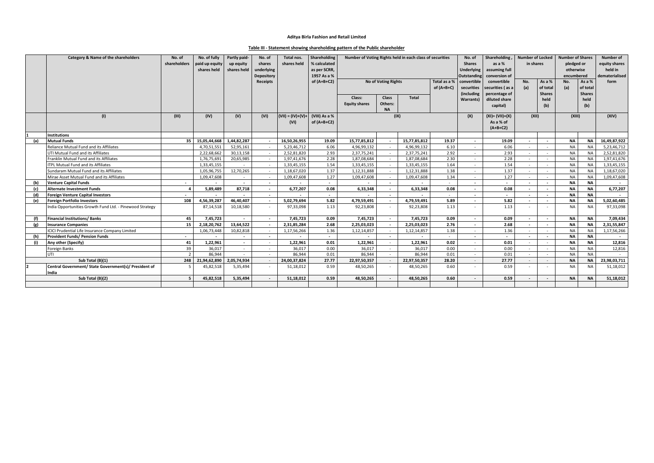# **Table III - Statement showing shareholding pattern of the Public shareholder**

|                               | Category & Name of the shareholders                            | No. of<br>shareholders | No. of fully<br>paid up equity<br>shares held | Partly paid-<br>up equity<br>shares held | No. of<br>shares<br>underlying<br>Depository | Total nos.<br>shares held | Shareholding<br>% calculated<br>as per SCRR,<br>1957 As a % | Number of Voting Rights held in each class of securities |                            |              |                              | No. of<br><b>Shares</b><br><b>Underlying</b><br><b>Outstanding</b> | Shareholding<br>as a $%$<br>assuming full<br>conversion of | <b>Number of Locked</b><br><b>Number of Shares</b><br>in shares<br>pledged or<br>otherwise<br>encumbered |                          |            | Number of<br>equity shares<br>held in<br>dematerialised |              |
|-------------------------------|----------------------------------------------------------------|------------------------|-----------------------------------------------|------------------------------------------|----------------------------------------------|---------------------------|-------------------------------------------------------------|----------------------------------------------------------|----------------------------|--------------|------------------------------|--------------------------------------------------------------------|------------------------------------------------------------|----------------------------------------------------------------------------------------------------------|--------------------------|------------|---------------------------------------------------------|--------------|
|                               |                                                                |                        |                                               |                                          | Receipts                                     |                           | of $(A+B+C2)$                                               |                                                          | <b>No of Voting Rights</b> |              | Total as a %<br>of $(A+B+C)$ | convertible<br>securities<br><i>(including</i>                     | convertible<br>securities (as a                            | No.<br>(a)                                                                                               | As a %<br>of total       | No.<br>(a) | As a %<br>of total                                      | form         |
|                               |                                                                |                        |                                               |                                          |                                              |                           |                                                             | Class:<br><b>Equity shares</b>                           | <b>Class</b><br>Others:    | <b>Total</b> |                              | <b>Warrants)</b>                                                   | percentage of<br>diluted share                             |                                                                                                          | <b>Shares</b><br>held    |            | <b>Shares</b><br>held                                   |              |
|                               |                                                                |                        |                                               |                                          |                                              |                           |                                                             |                                                          | <b>NA</b>                  |              |                              |                                                                    | capital)                                                   |                                                                                                          | (b)                      |            | (b)                                                     |              |
|                               | (1)                                                            | (III)                  | (IV)                                          | (V)                                      | (VI)                                         | $(VII) = (IV)+(V)+$       | (VIII) As a %                                               |                                                          | (IX)                       |              |                              | (X)                                                                | $(XI) = (VII)+(X)$                                         | (XII)                                                                                                    |                          | (XIII)     |                                                         | (XIV)        |
|                               |                                                                |                        |                                               |                                          |                                              | (VI)                      | of $(A+B+C2)$                                               |                                                          |                            |              |                              |                                                                    | As a % of                                                  |                                                                                                          |                          |            |                                                         |              |
|                               |                                                                |                        |                                               |                                          |                                              |                           |                                                             |                                                          |                            | $(A+B+C2)$   |                              |                                                                    |                                                            |                                                                                                          |                          |            |                                                         |              |
|                               | <b>Institutions</b>                                            |                        |                                               |                                          |                                              |                           |                                                             |                                                          |                            |              |                              |                                                                    |                                                            |                                                                                                          |                          |            |                                                         |              |
| (a)                           | <b>Mutual Funds</b>                                            |                        | 35 15,05,44,668                               | 1,44,82,287                              |                                              | 16,50,26,955              | 19.09                                                       | 15,77,85,812                                             |                            | 15,77,85,812 | 19.37                        |                                                                    | 19.09                                                      |                                                                                                          |                          | <b>NA</b>  | <b>NA</b>                                               | 16,49,87,922 |
|                               | Reliance Mutual Fund and its Affiliates                        |                        | 4,70,51,551                                   | 52,95,161                                | $\sim$                                       | 5,23,46,712               | 6.06                                                        | 4,96,99,132                                              |                            | 4,96,99,132  | 6.10                         | <b>1979</b>                                                        | 6.06                                                       | $\sim$                                                                                                   |                          | <b>NA</b>  | <b>NA</b>                                               | 5,23,46,712  |
|                               | UTI Mutual Fund and its Affiliates                             |                        | 2.22.68.662                                   | 30.13.158                                | $\sim$                                       | 2,52,81,820               | 2.93                                                        | 2,37,75,241                                              |                            | 2,37,75,241  | 2.92                         |                                                                    | 2.93                                                       |                                                                                                          |                          | <b>NA</b>  | <b>NA</b>                                               | 2,52,81,820  |
|                               | Franklin Mutual Fund and its Affiliates                        |                        | 1,76,75,691                                   | 20,65,985                                | $\sim$                                       | 1.97.41.676               | 2.28                                                        | 1,87,08,684                                              |                            | 1,87,08,684  | 2.30                         |                                                                    | 2.28                                                       |                                                                                                          |                          | <b>NA</b>  | <b>NA</b>                                               | 1,97,41,676  |
|                               | <b>ITPL Mutual Fund and its Affiliates</b>                     |                        | 1,33,45,155                                   |                                          | $\sim$                                       | 1,33,45,155               | 1.54                                                        | 1,33,45,155                                              |                            | 1,33,45,155  | 1.64                         |                                                                    | 1.54                                                       |                                                                                                          |                          | <b>NA</b>  | <b>NA</b>                                               | 1,33,45,155  |
|                               | Sundaram Mutual Fund and its Affiliates                        |                        | 1,05,96,755                                   | 12,70,265                                | $\sim$                                       | 1.18.67.020               | 1.37                                                        | 1,12,31,888                                              |                            | 1,12,31,888  | 1.38                         | $\sim$                                                             | 1.37                                                       | $\sim$                                                                                                   |                          | <b>NA</b>  | <b>NA</b>                                               | 1,18,67,020  |
|                               | Mirae Asset Mutual Fund and its Affiliates                     |                        | 1,09,47,608                                   |                                          | $\sim$                                       | 1,09,47,608               | 1.27                                                        | 1,09,47,608                                              | $\sim$                     | 1,09,47,608  | 1.34                         |                                                                    | 1.27                                                       | $\sim$                                                                                                   | <b>COL</b>               | <b>NA</b>  | <b>NA</b>                                               | 1,09,47,608  |
| (b)                           | <b>Venture Capital Funds</b>                                   |                        |                                               | $\overline{\phantom{a}}$                 | $\sim$                                       |                           | $\sim$                                                      |                                                          |                            |              |                              |                                                                    |                                                            |                                                                                                          | $\overline{\phantom{a}}$ | <b>NA</b>  | <b>NA</b>                                               |              |
| (c)                           | <b>Alternate Investment Funds</b>                              |                        | 5,89,489                                      | 87,718                                   | $\sim$                                       | 6,77,207                  | 0.08                                                        | 6,33,348                                                 | $\sim$                     | 6,33,348     | 0.08                         |                                                                    | 0.08                                                       |                                                                                                          |                          | <b>NA</b>  | <b>NA</b>                                               | 6,77,207     |
| (d)                           | Foreign Venture Capital Investors                              |                        |                                               |                                          |                                              |                           |                                                             |                                                          |                            |              |                              |                                                                    |                                                            |                                                                                                          |                          | <b>NA</b>  | <b>NA</b>                                               |              |
| (e)                           | <b>Foreign Portfolio Investors</b>                             | 108                    | 4,56,39,287                                   | 46,40,407                                | $\sim$                                       | 5,02,79,694               | 5.82                                                        | 4,79,59,491                                              | $\sim$                     | 4,79,59,491  | 5.89                         | $\sim$                                                             | 5.82                                                       |                                                                                                          |                          | <b>NA</b>  | <b>NA</b>                                               | 5,02,60,485  |
|                               | India Opportunities Growth Fund Ltd. - Pinewood Strategy       |                        | 87,14,518                                     | 10,18,580                                | $\sim$                                       | 97,33,098                 | 1.13                                                        | 92,23,808                                                |                            | 92,23,808    | 1.13                         |                                                                    | 1.13                                                       |                                                                                                          |                          | <b>NA</b>  | <b>NA</b>                                               | 97,33,098    |
|                               | <b>Financial Institutions/Banks</b>                            | 45                     | 7,45,723                                      |                                          | $\sim$                                       | 7,45,723                  | 0.09                                                        | 7,45,723                                                 |                            | 7,45,723     | 0.09                         |                                                                    | 0.09                                                       |                                                                                                          |                          | <b>NA</b>  | <b>NA</b>                                               | 7,09,434     |
| $\lbrack \mathcal{Q} \rbrack$ | <b>Insurance Companies</b>                                     | 15 I                   | 2,18,20,762                                   | 13,64,522                                | $\sim$                                       | 2,31,85,284               | 2.68                                                        | 2,25,03,023                                              |                            | 2,25,03,023  | 2.76                         |                                                                    | 2.68                                                       |                                                                                                          | $\sim$                   | <b>NA</b>  | <b>NA</b>                                               | 2,31,55,847  |
|                               | ICICI Prudential Life Insurance Company Limited                |                        | 1,06,73,448                                   | 10,82,818                                | $\sim$                                       | 1,17,56,266               | 1.36                                                        | 1,12,14,857                                              | $\sim$                     | 1,12,14,857  | 1.38                         | $\sim$                                                             | 1.36                                                       | $\sim$                                                                                                   |                          | <b>NA</b>  | NA                                                      | 1,17,56,266  |
| (h)                           | <b>Provident Funds/ Pension Funds</b>                          | $\sim$                 |                                               | $\overline{\phantom{a}}$                 | $\sim$                                       | $\sim$                    | $\sim$                                                      |                                                          | $\sim$                     | $\sim$       | $\sim$                       | $\sim$                                                             | $\sim$                                                     | $\sim$                                                                                                   | $\overline{\phantom{a}}$ | <b>NA</b>  | <b>NA</b>                                               | $\sim$       |
| (i)                           | Any other (Specify)                                            | 41                     | 1.22.961                                      | $\overline{\phantom{a}}$                 | $\sim$                                       | 1.22.961                  | 0.01                                                        | 1,22,961                                                 |                            | 1.22.961     | 0.02                         |                                                                    | 0.01                                                       |                                                                                                          |                          | <b>NA</b>  | <b>NA</b>                                               | 12,816       |
|                               | Foreign Banks                                                  | 39                     | 36.017                                        | $\sim$                                   | $\sim$                                       | 36.017                    | 0.00                                                        | 36,017                                                   | $\sim$                     | 36.017       | 0.00                         |                                                                    | 0.00                                                       |                                                                                                          |                          | <b>NA</b>  | <b>NA</b>                                               | 12,816       |
|                               | UTI                                                            | $\overline{2}$         | 86.944                                        |                                          | $\sim$                                       | 86.944                    | 0.01                                                        | 86,944                                                   |                            | 86.944       | 0.01                         |                                                                    | 0.01                                                       |                                                                                                          |                          | <b>NA</b>  | <b>NA</b>                                               |              |
|                               | Sub Total (B)(1)                                               |                        | 248 21,94,62,890                              | 2,05,74,934                              | $\sim$                                       | 24,00,37,824              | 27.77                                                       | 22,97,50,357                                             | $\sim$                     | 22,97,50,357 | 28.20                        | $\sim$                                                             | 27.77                                                      |                                                                                                          |                          | <b>NA</b>  | <b>NA</b>                                               | 23,98,03,711 |
|                               | Central Government/ State Government(s)/ President of<br>India |                        | 45,82,518                                     | 5,35,494                                 | $\sim$                                       | 51,18,012                 | 0.59                                                        | 48,50,265                                                |                            | 48,50,265    | 0.60                         |                                                                    | 0.59                                                       |                                                                                                          |                          | <b>NA</b>  | <b>NA</b>                                               | 51,18,012    |
|                               | Sub Total (B)(2)                                               |                        | 45,82,518                                     | 5,35,494                                 |                                              | 51,18,012                 | 0.59                                                        | 48,50,265                                                |                            | 48,50,265    | 0.60                         |                                                                    | 0.59                                                       |                                                                                                          |                          | <b>NA</b>  | <b>NA</b>                                               | 51,18,012    |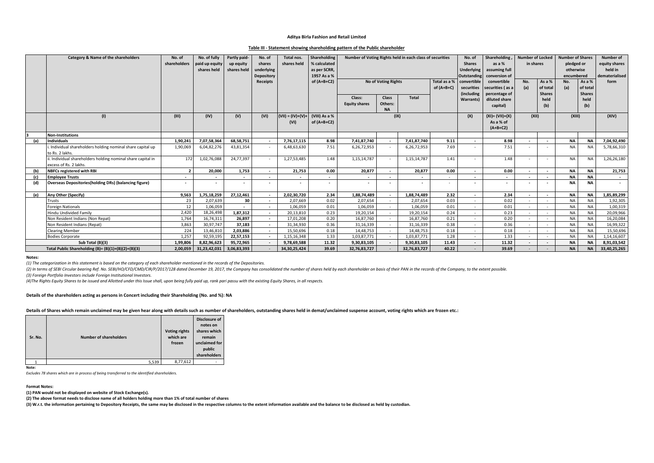#### **Table III - Statement showing shareholding pattern of the Public shareholder**

|     | Category & Name of the shareholders                                                    | No. of<br>shareholders | No. of fully<br>paid up equity<br>shares held | Partly paid-<br>up equity<br>shares held | No. of<br>shares<br>underlying<br>Depository | Total nos.<br>shares held   | Shareholding<br>% calculated<br>as per SCRR,<br>1957 As a % | Number of Voting Rights held in each class of securities |                                      | No. of<br><b>Shares</b><br><b>Underlying</b><br>Outstanding | Shareholding<br>as a %<br>assuming full<br>conversion of | <b>Number of Locked</b><br>in shares             |                                               | Number of<br><b>Number of Shares</b><br>pledged or<br>equity shares<br>otherwise<br>held in<br>dematerialised<br>encumbered |             |                                     |             |              |
|-----|----------------------------------------------------------------------------------------|------------------------|-----------------------------------------------|------------------------------------------|----------------------------------------------|-----------------------------|-------------------------------------------------------------|----------------------------------------------------------|--------------------------------------|-------------------------------------------------------------|----------------------------------------------------------|--------------------------------------------------|-----------------------------------------------|-----------------------------------------------------------------------------------------------------------------------------|-------------|-------------------------------------|-------------|--------------|
|     |                                                                                        |                        |                                               |                                          | <b>Receipts</b>                              |                             | of $(A+B+C2)$                                               | <b>No of Voting Rights</b>                               |                                      | Total as a %<br>of $(A+B+C)$                                | convertible<br>securities<br>(including                  | convertible<br>securities (as a<br>percentage of | No.<br>(a)                                    | As a %<br>of total<br><b>Shares</b>                                                                                         | No.<br>(a)  | As a %<br>of total<br><b>Shares</b> | form        |              |
|     |                                                                                        |                        |                                               |                                          |                                              |                             |                                                             | Class:<br><b>Equity shares</b>                           | <b>Class</b><br>Others:<br><b>NA</b> | Total                                                       |                                                          | Warrants)                                        | diluted share<br>capital)                     |                                                                                                                             | held<br>(b) |                                     | held<br>(b) |              |
|     | (1)                                                                                    | (III)                  | (IV)                                          | (V)                                      | (VI)                                         | $(VII) = (IV)+(V)+$<br>(VI) | (VIII) As a %<br>of $(A+B+C2)$                              | (IX)                                                     |                                      |                                                             |                                                          | (X)                                              | $(XI) = (VII)+(X)$<br>As a % of<br>$(A+B+C2)$ | (XII)                                                                                                                       |             | (XIII)                              |             | (XIV)        |
|     | <b>Non-Institutions</b>                                                                |                        |                                               |                                          |                                              |                             |                                                             |                                                          |                                      |                                                             |                                                          |                                                  |                                               |                                                                                                                             |             |                                     |             |              |
| (a) | <b>Individuals</b>                                                                     | 1,90,241               | 7,07,58,364                                   | 68,58,751                                | $\sim$                                       | 7,76,17,115                 | 8.98                                                        | 7,41,87,740                                              |                                      | 7,41,87,740                                                 | 9.11                                                     |                                                  | 8.98                                          |                                                                                                                             |             | <b>NA</b>                           | <b>NA</b>   | 7,04,92,490  |
|     | Individual shareholders holding nominal share capital up<br>to Rs. 2 lakhs.            | 1,90,069               | 6,04,82,276                                   | 43,81,354                                | $\sim$                                       | 6,48,63,630                 | 7.51                                                        | 6,26,72,953                                              |                                      | 6,26,72,953                                                 | 7.69                                                     |                                                  | 7.51                                          |                                                                                                                             |             | <b>NA</b>                           | <b>NA</b>   | 5,78,66,310  |
|     | ii. Individual shareholders holding nominal share capital in<br>excess of Rs. 2 lakhs. | 172                    | 1,02,76,088                                   | 24,77,397                                | $\sim$                                       | 1,27,53,485                 | 1.48                                                        | 1,15,14,787                                              |                                      | 1,15,14,787                                                 | 1.41                                                     | . н.                                             | 1.48                                          | $\sim$                                                                                                                      |             | <b>NA</b>                           | <b>NA</b>   | 1,26,26,180  |
| (b) | <b>NBFCs registered with RBI</b>                                                       | $\overline{2}$         | 20,000                                        | 1,753                                    | $\sim$                                       | 21,753                      | 0.00                                                        | 20,877                                                   | $\overline{\phantom{a}}$             | 20,877                                                      | 0.00                                                     | $\sim$                                           | 0.00                                          | $\overline{\phantom{a}}$                                                                                                    |             | NA                                  | <b>NA</b>   | 21,753       |
| (c) | <b>Employee Trusts</b>                                                                 |                        |                                               |                                          | $\sim$                                       |                             |                                                             | $\sim$                                                   |                                      | $\overline{\phantom{a}}$                                    |                                                          |                                                  |                                               | $\overline{\phantom{a}}$                                                                                                    |             | <b>NA</b>                           | <b>NA</b>   | $\sim$       |
| (d) | <b>Overseas Depositories(holding DRs) (balancing figure)</b>                           | $\sim$                 |                                               |                                          | $\sim$                                       |                             |                                                             | $\sim$                                                   |                                      |                                                             |                                                          |                                                  |                                               |                                                                                                                             |             | <b>NA</b>                           | <b>NA</b>   | $\sim$       |
| (e) | Any Other (Specify)                                                                    | 9,563                  | 1,75,18,259                                   | 27,12,461                                | $\sim$                                       | 2,02,30,720                 | 2.34                                                        | 1,88,74,489                                              |                                      | 1,88,74,489                                                 | 2.32                                                     | $\sim$                                           | 2.34                                          | $\overline{\phantom{a}}$                                                                                                    |             | <b>NA</b>                           | <b>NA</b>   | 1,85,89,299  |
|     | Trusts                                                                                 | 23                     | 2.07.639                                      | 30                                       | $\sim$                                       | 2,07,669                    | 0.02                                                        | 2,07,654                                                 | $\sim$                               | 2.07.654                                                    | 0.03                                                     | . н.                                             | 0.02                                          | $\sim$                                                                                                                      |             | <b>NA</b>                           | <b>NA</b>   | 1,92,305     |
|     | <b>Foreign Nationals</b>                                                               | 12                     | 1.06.059                                      |                                          | $\sim$                                       | 1.06.059                    | 0.01                                                        | 1.06.059                                                 |                                      | 1.06.059                                                    | 0.01                                                     |                                                  | 0.01                                          |                                                                                                                             |             | <b>NA</b>                           | <b>NA</b>   | 1,00,319     |
|     | <b>Hindu Undivided Family</b>                                                          | 2.420                  | 18.26.498                                     | 1,87,312                                 | $\sim$                                       | 20,13,810                   | 0.23                                                        | 19,20,154                                                |                                      | 19,20,154                                                   | 0.24                                                     |                                                  | 0.23                                          |                                                                                                                             |             | <b>NA</b>                           | <b>NA</b>   | 20,09,966    |
|     | Non Resident Indians (Non Repat)                                                       | 1,764                  | 16,74,311                                     | 26,897                                   | $\sim$                                       | 17,01,208                   | 0.20                                                        | 16,87,760                                                |                                      | 16,87,760                                                   | 0.21                                                     |                                                  | 0.20                                          |                                                                                                                             |             | <b>NA</b>                           | <b>NA</b>   | 16,20,084    |
|     | Non Resident Indians (Repat)                                                           | 3,863                  | 30,97,747                                     | 37,183                                   | $\sim$                                       | 31,34,930                   | 0.36                                                        | 31,16,339                                                |                                      | 31,16,339                                                   | 0.38                                                     |                                                  | 0.36                                          |                                                                                                                             |             | <b>NA</b>                           | <b>NA</b>   | 16,99,322    |
|     | <b>Clearing Member</b>                                                                 | 224                    | 13,46,810                                     | 2,03,886                                 | $\sim$                                       | 15,50,696                   | 0.18                                                        | 14,48,753                                                |                                      | 14,48,753                                                   | 0.18                                                     | . н.                                             | 0.18                                          |                                                                                                                             |             | <b>NA</b>                           | <b>NA</b>   | 15,50,696    |
|     | <b>Bodies Corporate</b>                                                                | 1,257                  | 92,59,195                                     | 22,57,153                                | $\sim$                                       | 1,15,16,348                 | 1.33                                                        | 1,03,87,771                                              |                                      | 1,03,87,771                                                 | 1.28                                                     |                                                  | 1.33                                          |                                                                                                                             |             | <b>NA</b>                           | <b>NA</b>   | 1,14,16,607  |
|     | Sub Total (B)(3)                                                                       | 1,99,806               | 8,82,96,623                                   | 95,72,965                                | $\sim$                                       | 9,78,69,588                 | 11.32                                                       | 9,30,83,105                                              |                                      | 9,30,83,105                                                 | 11.43                                                    |                                                  | 11.32                                         |                                                                                                                             |             | <b>NA</b>                           | <b>NA</b>   | 8,91,03,542  |
|     | Total Public Shareholding (B)= (B)(1)+(B)(2)+(B)(3)                                    | 2.00.059               | 31,23,42,031                                  | 3,06,83,393                              |                                              | 34, 30, 25, 424             | 39.69                                                       | 32,76,83,727                                             |                                      | 32,76,83,727                                                | 40.22                                                    |                                                  | 39.69                                         |                                                                                                                             |             | <b>NA</b>                           | <b>NA</b>   | 33,40,25,265 |

#### **Notes:**

*(1) The categorization in this statement is based on the category of each shareholder mentioned in the records of the Depositories.*

(2) In terms of SEBI Circular bearing Ref. No. SEBI/HO/CFD/CMD/CIR/P/2017/128 dated December 19, 2017, the Company has consolidated the number of shares held by each shareholder on basis of their PAN in the records of the *(3) Foreign Portfolio Investors include Foreign Institutional Investors.*

*(4)The Rights Equity Shares to be issued and Allotted under this Issue shall, upon being fully paid up, rank pari passu with the existing Equity Shares, in all respects.*

#### **Details of the shareholders acting as persons in Concert including their Shareholding (No. and %): NA**

**Details of Shares which remain unclaimed may be given hear along with details such as number of shareholders, outstanding shares held in demat/unclaimed suspense account, voting rights which are frozen etc.:**

| Sr. No. | <b>Number of shareholders</b> | <b>Voting rights</b><br>which are<br>frozen | <b>Disclosure of</b><br>notes on<br>shares which<br>remain<br>unclaimed for<br>public<br>shareholders |
|---------|-------------------------------|---------------------------------------------|-------------------------------------------------------------------------------------------------------|
|         | 5,539                         | 8,77,612                                    |                                                                                                       |

**Note:**

*Excludes 78 shares which are in process of being transferred to the identified shareholders.*

## **Format Notes:**

**(1) PAN would not be displayed on website of Stock Exchange(s).** 

**(2) The above format needs to disclose name of all holders holding more than 1% of total number of shares**

**(3) W.r.t. the information pertaining to Depository Receipts, the same may be disclosed in the respective columns to the extent information available and the balance to be disclosed as held by custodian.**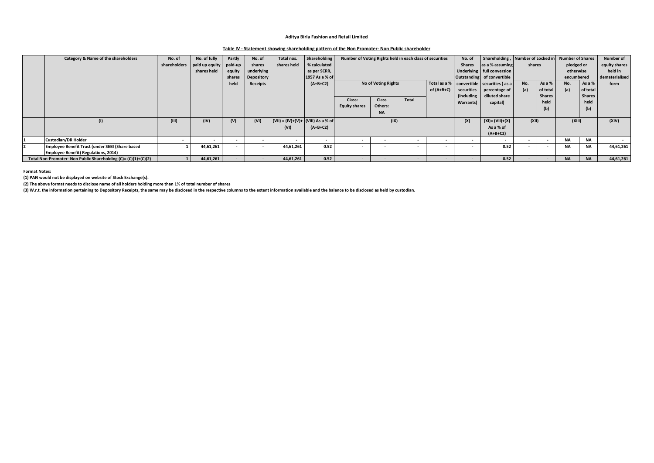## **Table IV - Statement showing shareholding pattern of the Non Promoter- Non Public shareholder**

| Category & Name of the shareholders                            | No. of | No. of fully                | Partly  | No. of     | Total nos.                           | Shareholding             |                                 |           | Number of Voting Rights held in each class of securities |                          | No. of                                        | Shareholding,      | Number of Locked in |            | <b>Number of Shares</b> |                | Number of     |
|----------------------------------------------------------------|--------|-----------------------------|---------|------------|--------------------------------------|--------------------------|---------------------------------|-----------|----------------------------------------------------------|--------------------------|-----------------------------------------------|--------------------|---------------------|------------|-------------------------|----------------|---------------|
|                                                                |        | shareholders paid up equity | paid-up | shares     | shares held                          | % calculated             |                                 |           |                                                          |                          | <b>Shares</b>                                 | as a % assuming    | shares              |            | pledged or              |                | equity shares |
|                                                                |        | shares held                 | equity  | underlying |                                      | as per SCRR,             |                                 |           |                                                          |                          | Underlying full conversion                    |                    |                     |            | otherwise               |                | held in       |
|                                                                |        |                             | shares  | Depository |                                      | 1957 As a % of           |                                 |           |                                                          |                          | Outstanding of convertible                    |                    |                     | encumbered |                         | dematerialised |               |
|                                                                |        |                             | held    | Receipts   |                                      | $(A+B+C2)$               | <b>No of Voting Rights</b>      |           |                                                          |                          | Total as a %   convertible   securities (as a | No.                | As a %              | No.        | As a %                  | form           |               |
|                                                                |        |                             |         |            |                                      |                          | of $(A+B+C)$                    |           |                                                          | securities               | percentage of                                 | (a)                | of total            | (a)        | of total                |                |               |
|                                                                |        |                             |         |            |                                      |                          | <b>Class</b><br>Total<br>Class: |           |                                                          | (including               | diluted share                                 |                    | <b>Shares</b>       |            | <b>Shares</b>           |                |               |
|                                                                |        |                             |         |            |                                      |                          |                                 |           |                                                          |                          | Warrants)                                     | capital)           |                     | held       |                         | held           |               |
|                                                                |        |                             |         |            |                                      |                          | <b>Equity shares</b>            | Others:   |                                                          |                          |                                               |                    |                     | (b)        |                         | (b)            |               |
|                                                                |        |                             |         |            |                                      |                          |                                 | <b>NA</b> |                                                          |                          |                                               |                    |                     |            |                         |                |               |
| (1)                                                            | (III)  | (IV)                        | (V)     | (VI)       | $(VII) = (IV)+(V)+ (VIII)$ As a % of |                          |                                 |           | (IX)                                                     |                          | (X)                                           | $(XI) = (VII)+(X)$ | (XII)               |            | (XIII)                  |                | (XIV)         |
|                                                                |        |                             |         |            | (VI)                                 | $(A+B+C2)$               |                                 |           |                                                          |                          |                                               | As a % of          |                     |            |                         |                |               |
|                                                                |        |                             |         |            |                                      |                          |                                 |           |                                                          |                          | $(A+B+C2)$                                    |                    |                     |            |                         |                |               |
| <b>Custodian/DR Holder</b>                                     |        |                             | . .     | $\sim$     |                                      | $\overline{\phantom{a}}$ |                                 | $\sim$    |                                                          | $\sim$                   | $\sim$                                        | -                  | $\sim$              | $\sim$     | <b>NA</b>               | <b>NA</b>      | $\sim$        |
| Employee Benefit Trust (under SEBI (Share based                |        | 44,61,261                   |         |            | 44,61,261                            | 0.52                     |                                 |           |                                                          |                          |                                               | 0.52               |                     |            | <b>NA</b>               | <b>NA</b>      | 44,61,261     |
| <b>Employee Benefit) Regulations, 2014)</b>                    |        |                             |         |            |                                      |                          |                                 |           |                                                          |                          |                                               |                    |                     |            |                         |                |               |
| Total Non-Promoter- Non Public Shareholding (C)= (C)(1)+(C)(2) |        | 44,61,261                   |         |            | 44,61,261                            | 0.52                     |                                 |           |                                                          | $\overline{\phantom{0}}$ |                                               | 0.52               |                     |            | <b>NA</b>               | <b>NA</b>      | 44,61,261     |

**Format Notes:**

**(1) PAN would not be displayed on website of Stock Exchange(s).** 

**(2) The above format needs to disclose name of all holders holding more than 1% of total number of shares**

**(3) W.r.t. the information pertaining to Depository Receipts, the same may be disclosed in the respective columns to the extent information available and the balance to be disclosed as held by custodian.**